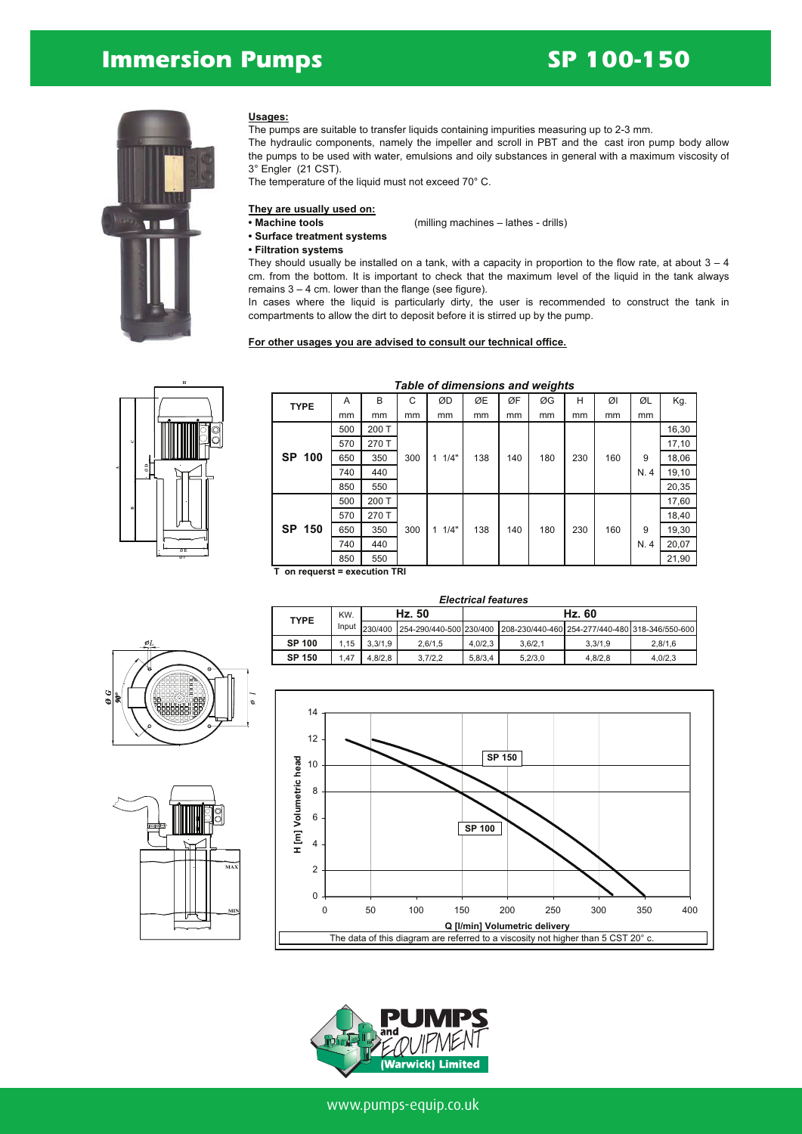## **Immersion Pumps SP 100-150**



#### **Usages:**

The pumps are suitable to transfer liquids containing impurities measuring up to 2-3 mm.

The hydraulic components, namely the impeller and scroll in PBT and the cast iron pump body allow the pumps to be used with water, emulsions and oily substances in general with a maximum viscosity of 3° Engler (21 CST).

The temperature of the liquid must not exceed 70° C.

## **They are usually used on:**

**• Machine tools** (milling machines – lathes - drills)

- **• Surface treatment systems**
- **• Filtration systems**

They should usually be installed on a tank, with a capacity in proportion to the flow rate, at about  $3-4$ 

cm. from the bottom. It is important to check that the maximum level of the liquid in the tank always remains  $3 - 4$  cm. lower than the flange (see figure).

In cases where the liquid is particularly dirty, the user is recommended to construct the tank in compartments to allow the dirt to deposit before it is stirred up by the pump.

#### **For other usages you are advised to consult our technical office.**



| <b>TYPE</b> | A   | B     | C   | ØD        | ØE  | ØF  | ØG  | н   | ØΙ  | ØL  | Kg.   |
|-------------|-----|-------|-----|-----------|-----|-----|-----|-----|-----|-----|-------|
|             | mm  | mm    | mm  | mm        | mm  | mm  | mm  | mm  | mm  | mm  |       |
|             | 500 | 200 T |     |           |     |     |     |     |     |     | 16,30 |
|             | 570 | 270 T |     |           |     |     |     |     |     |     | 17,10 |
| SP 100      | 650 | 350   | 300 | 1/4"<br>1 | 138 | 140 | 180 | 230 | 160 | 9   | 18,06 |
|             | 740 | 440   |     |           |     |     |     |     |     | N.4 | 19,10 |
|             | 850 | 550   |     |           |     |     |     |     |     |     | 20,35 |
|             | 500 | 200 T |     |           |     |     |     |     |     |     | 17,60 |
|             | 570 | 270 T |     |           |     |     |     |     |     |     | 18,40 |
| SP 150      | 650 | 350   | 300 | 1/4"<br>1 | 138 | 140 | 180 | 230 | 160 | 9   | 19,30 |
|             | 740 | 440   |     |           |     |     |     |     |     | N.4 | 20,07 |
|             | 850 | 550   |     |           |     |     |     |     |     |     | 21,90 |

#### *Table of dimensions and weights*

**T on requerst = execution TRI**

|               |       |         |                                                                                 | <b>Electrical features</b> |         |         |         |
|---------------|-------|---------|---------------------------------------------------------------------------------|----------------------------|---------|---------|---------|
| <b>TYPE</b>   | KW.   |         | Hz. 50                                                                          |                            |         | Hz. 60  |         |
|               | Input |         | 230/400 254-290/440-500 230/400 208-230/440-460 254-277/440-480 318-346/550-600 |                            |         |         |         |
| <b>SP 100</b> | 1.15  | 3.3/1.9 | 2.6/1.5                                                                         | 4.0/2.3                    | 3.6/2.1 | 3.3/1.9 | 2.8/1.6 |
| <b>SP 150</b> | 1.47  | 4.8/2.8 | 3,7/2,2                                                                         | 5,8/3,4                    | 5.2/3.0 | 4,8/2,8 | 4,0/2,3 |